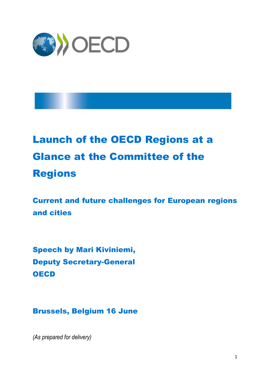

# Launch of the OECD Regions at a Glance at the Committee of the Regions

Current and future challenges for European regions and cities

Speech by Mari Kiviniemi, Deputy Secretary-General **OECD** 

Brussels, Belgium 16 June

*(As prepared for delivery)*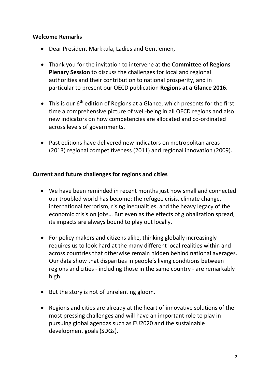#### **Welcome Remarks**

- Dear President Markkula, Ladies and Gentlemen,
- Thank you for the invitation to intervene at the **Committee of Regions Plenary Session** to discuss the challenges for local and regional authorities and their contribution to national prosperity, and in particular to present our OECD publication **Regions at a Glance 2016.**
- $\bullet$  This is our 6<sup>th</sup> edition of Regions at a Glance, which presents for the first time a comprehensive picture of well-being in all OECD regions and also new indicators on how competencies are allocated and co-ordinated across levels of governments.
- Past editions have delivered new indicators on metropolitan areas (2013) regional competitiveness (2011) and regional innovation (2009).

## **Current and future challenges for regions and cities**

- We have been reminded in recent months just how small and connected our troubled world has become: the refugee crisis, climate change, international terrorism, rising inequalities, and the heavy legacy of the economic crisis on jobs… But even as the effects of globalization spread, its impacts are always bound to play out locally.
- For policy makers and citizens alike, thinking globally increasingly requires us to look hard at the many different local realities within and across countries that otherwise remain hidden behind national averages. Our data show that disparities in people's living conditions between regions and cities - including those in the same country - are remarkably high.
- But the story is not of unrelenting gloom.
- Regions and cities are already at the heart of innovative solutions of the most pressing challenges and will have an important role to play in pursuing global agendas such as EU2020 and the sustainable development goals (SDGs).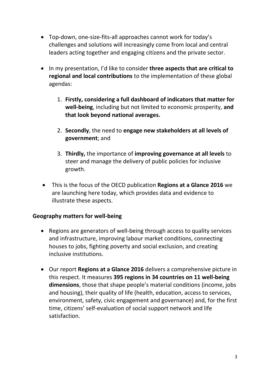- Top-down, one-size-fits-all approaches cannot work for today's challenges and solutions will increasingly come from local and central leaders acting together and engaging citizens and the private sector.
- In my presentation, I'd like to consider **three aspects that are critical to regional and local contributions** to the implementation of these global agendas:
	- 1. **Firstly, considering a full dashboard of indicators that matter for well-being**, including but not limited to economic prosperity, **and that look beyond national averages.**
	- 2. **Secondly**, the need to **engage new stakeholders at all levels of government**; and
	- 3. **Thirdly,** the importance of **improving governance at all levels** to steer and manage the delivery of public policies for inclusive growth.
- This is the focus of the OECD publication **Regions at a Glance 2016** we are launching here today, which provides data and evidence to illustrate these aspects.

## **Geography matters for well-being**

- Regions are generators of well-being through access to quality services and infrastructure, improving labour market conditions, connecting houses to jobs, fighting poverty and social exclusion, and creating inclusive institutions.
- Our report **Regions at a Glance 2016** delivers a comprehensive picture in this respect. It measures **395 regions in 34 countries on 11 well-being dimensions**, those that shape people's material conditions (income, jobs and housing), their quality of life (health, education, access to services, environment, safety, civic engagement and governance) and, for the first time, citizens' self-evaluation of social support network and life satisfaction.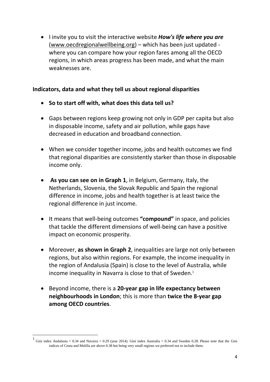• I invite you to visit the interactive website **How's life where you are** [\(www.oecdregionalwellbeing.org\)](http://www.oecdregionalwellbeing.org/) – which has been just updated where you can compare how your region fares among all the OECD regions, in which areas progress has been made, and what the main weaknesses are.

## **Indicators, data and what they tell us about regional disparities**

- **So to start off with, what does this data tell us?**
- Gaps between regions keep growing not only in GDP per capita but also in disposable income, safety and air pollution, while gaps have decreased in education and broadband connection.
- When we consider together income, jobs and health outcomes we find that regional disparities are consistently starker than those in disposable income only.
- **As you can see on in Graph 1**, in Belgium, Germany, Italy, the Netherlands, Slovenia, the Slovak Republic and Spain the regional difference in income, jobs and health together is at least twice the regional difference in just income.
- It means that well-being outcomes **"compound"** in space, and policies that tackle the different dimensions of well-being can have a positive impact on economic prosperity.
- Moreover, **as shown in Graph 2**, inequalities are large not only between regions, but also within regions. For example, the income inequality in the region of Andalusia (Spain) is close to the level of Australia, while income inequality in Navarra is close to that of Sweden.<sup>1</sup>
- Beyond income, there is a **20-year gap in life expectancy between neighbourhoods in London**; this is more than **twice the 8-year gap among OECD countries**.

**.** 

<sup>1</sup> Gini index Andalusia = 0.34 and Navarra = 0.29 (year 2014). Gini index Australia = 0.34 and Sweden 0.28. Please note that the Gini indices of Ceuta and Melilla are above 0.38 but being very small regions we preferred not to include them.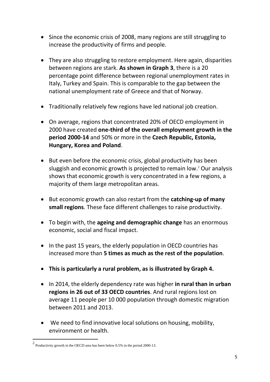- Since the economic crisis of 2008, many regions are still struggling to increase the productivity of firms and people.
- They are also struggling to restore employment. Here again, disparities between regions are stark. **As shown in Graph 3**, there is a 20 percentage point difference between regional unemployment rates in Italy, Turkey and Spain. This is comparable to the gap between the national unemployment rate of Greece and that of Norway.
- Traditionally relatively few regions have led national job creation.
- On average, regions that concentrated 20% of OECD employment in 2000 have created **one-third of the overall employment growth in the period 2000-14** and 50% or more in the **Czech Republic, Estonia, Hungary, Korea and Poland**.
- But even before the economic crisis, global productivity has been sluggish and economic growth is projected to remain low.<sup>2</sup> Our analysis shows that economic growth is very concentrated in a few regions, a majority of them large metropolitan areas.
- But economic growth can also restart from the **catching-up of many small regions**. These face different challenges to raise productivity.
- To begin with, the **ageing and demographic change** has an enormous economic, social and fiscal impact.
- In the past 15 years, the elderly population in OECD countries has increased more than **5 times as much as the rest of the population**.
- **This is particularly a rural problem, as is illustrated by Graph 4.**
- In 2014, the elderly dependency rate was higher **in rural than in urban regions in 26 out of 33 OECD countries**. And rural regions lost on average 11 people per 10 000 population through domestic migration between 2011 and 2013.
- We need to find innovative local solutions on housing, mobility, environment or health.

 $\overline{\phantom{a}}$ 

 $2$  Productivity growth in the OECD area has been below 0.5% in the period 2000-13.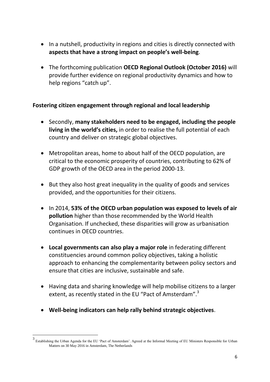- In a nutshell, productivity in regions and cities is directly connected with **aspects that have a strong impact on people's well-being**.
- The forthcoming publication **OECD Regional Outlook (October 2016)** will provide further evidence on regional productivity dynamics and how to help regions "catch up".

## **Fostering citizen engagement through regional and local leadership**

- Secondly, **many stakeholders need to be engaged, including the people living in the world's cities,** in order to realise the full potential of each country and deliver on strategic global objectives.
- Metropolitan areas, home to about half of the OECD population, are critical to the economic prosperity of countries, contributing to 62% of GDP growth of the OECD area in the period 2000-13.
- But they also host great inequality in the quality of goods and services provided, and the opportunities for their citizens.
- In 2014, **53% of the OECD urban population was exposed to levels of air pollution** higher than those recommended by the World Health Organisation. If unchecked, these disparities will grow as urbanisation continues in OECD countries.
- **Local governments can also play a major role** in federating different constituencies around common policy objectives, taking a holistic approach to enhancing the complementarity between policy sectors and ensure that cities are inclusive, sustainable and safe.
- Having data and sharing knowledge will help mobilise citizens to a larger extent, as recently stated in the EU "Pact of Amsterdam".<sup>3</sup>
- **Well-being indicators can help rally behind strategic objectives**.

<sup>&</sup>lt;sup>3</sup><br><sup>3</sup> Establishing the Urban Agenda for the EU 'Pact of Amsterdam'. Agreed at the Informal Meeting of EU Ministers Responsible for Urban Matters on 30 May 2016 in Amsterdam. The Netherlands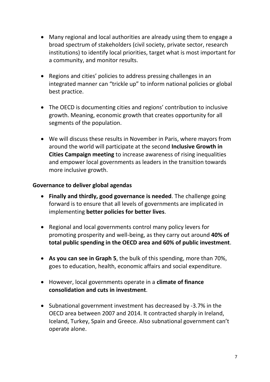- Many regional and local authorities are already using them to engage a broad spectrum of stakeholders (civil society, private sector, research institutions) to identify local priorities, target what is most important for a community, and monitor results.
- Regions and cities' policies to address pressing challenges in an integrated manner can "trickle up" to inform national policies or global best practice.
- The OECD is documenting cities and regions' contribution to inclusive growth. Meaning, economic growth that creates opportunity for all segments of the population.
- We will discuss these results in November in Paris, where mayors from around the world will participate at the second **Inclusive Growth in Cities Campaign meeting** to increase awareness of rising inequalities and empower local governments as leaders in the transition towards more inclusive growth.

#### **Governance to deliver global agendas**

- **Finally and thirdly, good governance is needed**. The challenge going forward is to ensure that all levels of governments are implicated in implementing **better policies for better lives**.
- Regional and local governments control many policy levers for promoting prosperity and well-being, as they carry out around **40% of total public spending in the OECD area and 60% of public investment**.
- **As you can see in Graph 5**, the bulk of this spending, more than 70%, goes to education, health, economic affairs and social expenditure.
- However, local governments operate in a **climate of finance consolidation and cuts in investment**.
- Subnational government investment has decreased by -3.7% in the OECD area between 2007 and 2014. It contracted sharply in Ireland, Iceland, Turkey, Spain and Greece. Also subnational government can't operate alone.